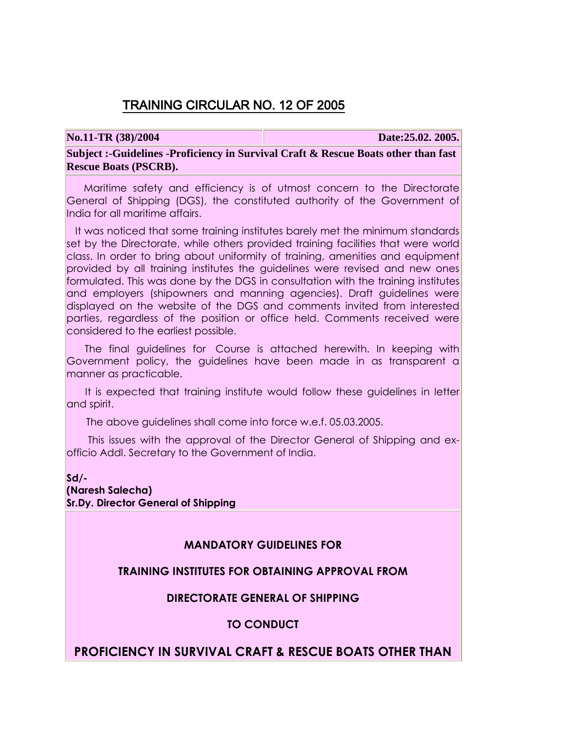## TRAINING CIRCULAR NO. 12 OF 2005

**No.11-TR (38)/2004 Date:25.02. 2005.**

**Subject :-Guidelines -Proficiency in Survival Craft & Rescue Boats other than fast Rescue Boats (PSCRB).**

 Maritime safety and efficiency is of utmost concern to the Directorate General of Shipping (DGS), the constituted authority of the Government of India for all maritime affairs.

 It was noticed that some training institutes barely met the minimum standards set by the Directorate, while others provided training facilities that were world class. In order to bring about uniformity of training, amenities and equipment provided by all training institutes the guidelines were revised and new ones formulated. This was done by the DGS in consultation with the training institutes and employers (shipowners and manning agencies). Draft guidelines were displayed on the website of the DGS and comments invited from interested parties, regardless of the position or office held. Comments received were considered to the earliest possible.

 The final guidelines for Course is attached herewith. In keeping with Government policy, the guidelines have been made in as transparent a manner as practicable.

 It is expected that training institute would follow these guidelines in letter and spirit.

The above guidelines shall come into force w.e.f. 05.03.2005.

 This issues with the approval of the Director General of Shipping and exofficio Addl. Secretary to the Government of India.

**Sd/- (Naresh Salecha) Sr.Dy. Director General of Shipping**

## **MANDATORY GUIDELINES FOR**

## **TRAINING INSTITUTES FOR OBTAINING APPROVAL FROM**

## **DIRECTORATE GENERAL OF SHIPPING**

## **TO CONDUCT**

## **PROFICIENCY IN SURVIVAL CRAFT & RESCUE BOATS OTHER THAN**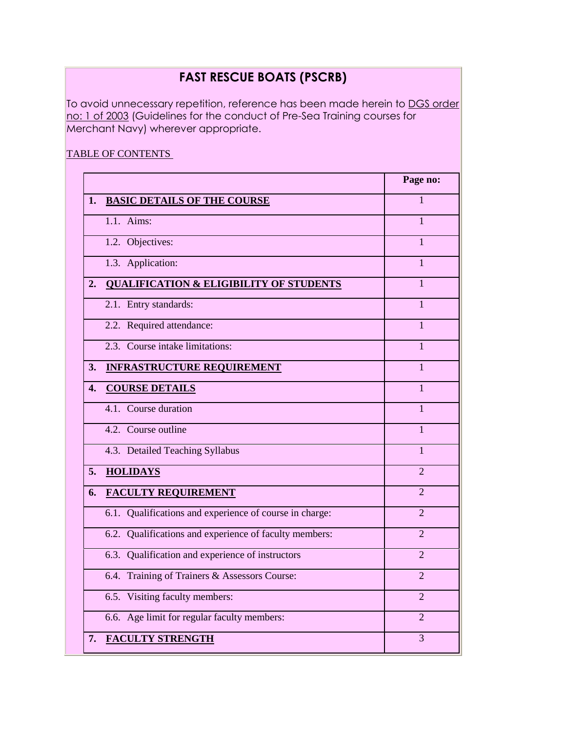# **FAST RESCUE BOATS (PSCRB)**

To avoid unnecessary repetition, reference has been made herein to DGS order no: 1 of 2003 (Guidelines for the conduct of Pre-Sea Training courses for Merchant Navy) wherever appropriate.

## TABLE OF CONTENTS

|                                                            | Page no:       |
|------------------------------------------------------------|----------------|
| <b>BASIC DETAILS OF THE COURSE</b>                         | $\mathbf{1}$   |
| $1.1.$ Aims:                                               | $\mathbf{1}$   |
| 1.2. Objectives:                                           | $\mathbf{1}$   |
| 1.3. Application:                                          | $\mathbf{1}$   |
| <b>QUALIFICATION &amp; ELIGIBILITY OF STUDENTS</b>         | $\mathbf{1}$   |
| 2.1. Entry standards:                                      | $\mathbf{1}$   |
| 2.2. Required attendance:                                  | $\mathbf{1}$   |
| 2.3. Course intake limitations:                            | $\mathbf{1}$   |
| <b>INFRASTRUCTURE REQUIREMENT</b>                          | $\mathbf{1}$   |
| <b>COURSE DETAILS</b>                                      | $\mathbf{1}$   |
| 4.1. Course duration                                       | 1              |
| 4.2. Course outline                                        | $\mathbf{1}$   |
| 4.3. Detailed Teaching Syllabus                            | 1              |
| <b>HOLIDAYS</b>                                            | $\overline{2}$ |
| <b>FACULTY REQUIREMENT</b>                                 | 2              |
| Qualifications and experience of course in charge:<br>6.1. | $\overline{2}$ |
| 6.2. Qualifications and experience of faculty members:     | $\overline{2}$ |
| 6.3. Qualification and experience of instructors           | $\overline{2}$ |
| 6.4. Training of Trainers & Assessors Course:              | $\overline{2}$ |
| 6.5. Visiting faculty members:                             | $\overline{2}$ |
| 6.6. Age limit for regular faculty members:                | $\overline{2}$ |
| <b>FACULTY STRENGTH</b>                                    | 3              |
|                                                            |                |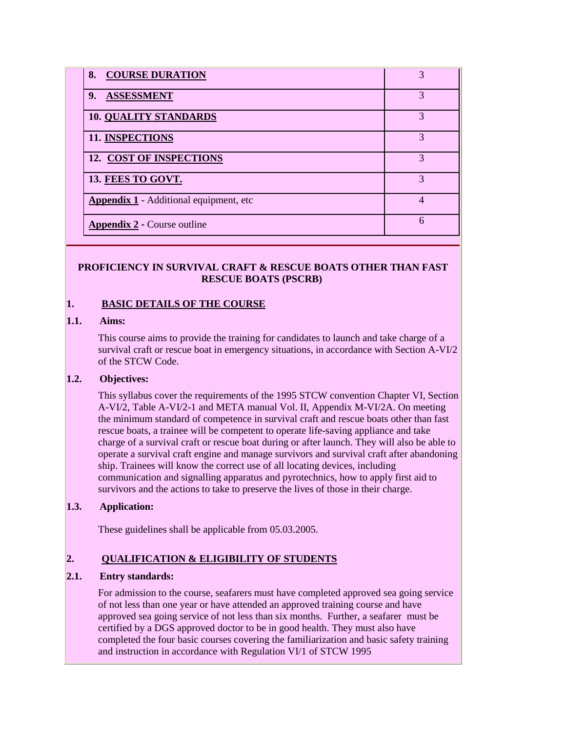| 8. COURSE DURATION                            | 3 |
|-----------------------------------------------|---|
| <b>ASSESSMENT</b><br>9.                       | 3 |
| <b>10. QUALITY STANDARDS</b>                  | 3 |
| <b>11. INSPECTIONS</b>                        | 3 |
| 12. COST OF INSPECTIONS                       | 3 |
| 13. FEES TO GOVT.                             | 3 |
| <b>Appendix 1</b> - Additional equipment, etc | 4 |
| <b>Appendix 2 - Course outline</b>            | 6 |

#### **PROFICIENCY IN SURVIVAL CRAFT & RESCUE BOATS OTHER THAN FAST RESCUE BOATS (PSCRB)**

#### **1. BASIC DETAILS OF THE COURSE**

#### **1.1. Aims:**

This course aims to provide the training for candidates to launch and take charge of a survival craft or rescue boat in emergency situations, in accordance with Section A-VI/2 of the STCW Code.

#### **1.2. Objectives:**

This syllabus cover the requirements of the 1995 STCW convention Chapter VI, Section A-VI/2, Table A-VI/2-1 and META manual Vol. II, Appendix M-VI/2A. On meeting the minimum standard of competence in survival craft and rescue boats other than fast rescue boats, a trainee will be competent to operate life-saving appliance and take charge of a survival craft or rescue boat during or after launch. They will also be able to operate a survival craft engine and manage survivors and survival craft after abandoning ship. Trainees will know the correct use of all locating devices, including communication and signalling apparatus and pyrotechnics, how to apply first aid to survivors and the actions to take to preserve the lives of those in their charge.

## **1.3. Application:**

These guidelines shall be applicable from 05.03.2005.

## **2. QUALIFICATION & ELIGIBILITY OF STUDENTS**

#### **2.1. Entry standards:**

For admission to the course, seafarers must have completed approved sea going service of not less than one year or have attended an approved training course and have approved sea going service of not less than six months. Further, a seafarer must be certified by a DGS approved doctor to be in good health. They must also have completed the four basic courses covering the familiarization and basic safety training and instruction in accordance with Regulation VI/1 of STCW 1995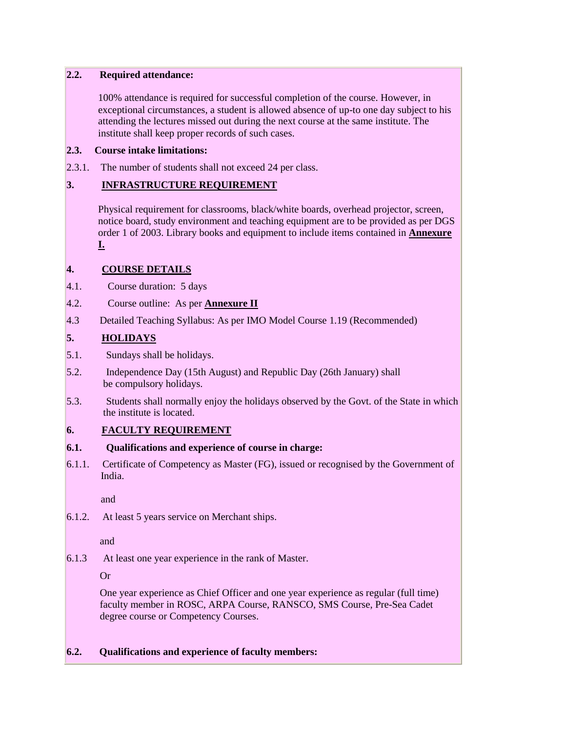#### **2.2. Required attendance:**

100% attendance is required for successful completion of the course. However, in exceptional circumstances, a student is allowed absence of up-to one day subject to his attending the lectures missed out during the next course at the same institute. The institute shall keep proper records of such cases.

#### **2.3. Course intake limitations:**

2.3.1. The number of students shall not exceed 24 per class.

## **3. INFRASTRUCTURE REQUIREMENT**

Physical requirement for classrooms, black/white boards, overhead projector, screen, notice board, study environment and teaching equipment are to be provided as per DGS order 1 of 2003. Library books and equipment to include items contained in **Annexure I.**

## **4. COURSE DETAILS**

- 4.1. Course duration: 5 days
- 4.2. Course outline: As per **Annexure II**
- 4.3 Detailed Teaching Syllabus: As per IMO Model Course 1.19 (Recommended)

## **5. HOLIDAYS**

- 5.1. Sundays shall be holidays.
- 5.2. Independence Day (15th August) and Republic Day (26th January) shall be compulsory holidays.
- 5.3. Students shall normally enjoy the holidays observed by the Govt. of the State in which the institute is located.

## **6. FACULTY REQUIREMENT**

## **6.1. Qualifications and experience of course in charge:**

6.1.1. Certificate of Competency as Master (FG), issued or recognised by the Government of India.

and

6.1.2. At least 5 years service on Merchant ships.

and

6.1.3 At least one year experience in the rank of Master.

Or

One year experience as Chief Officer and one year experience as regular (full time) faculty member in ROSC, ARPA Course, RANSCO, SMS Course, Pre-Sea Cadet degree course or Competency Courses.

## **6.2. Qualifications and experience of faculty members:**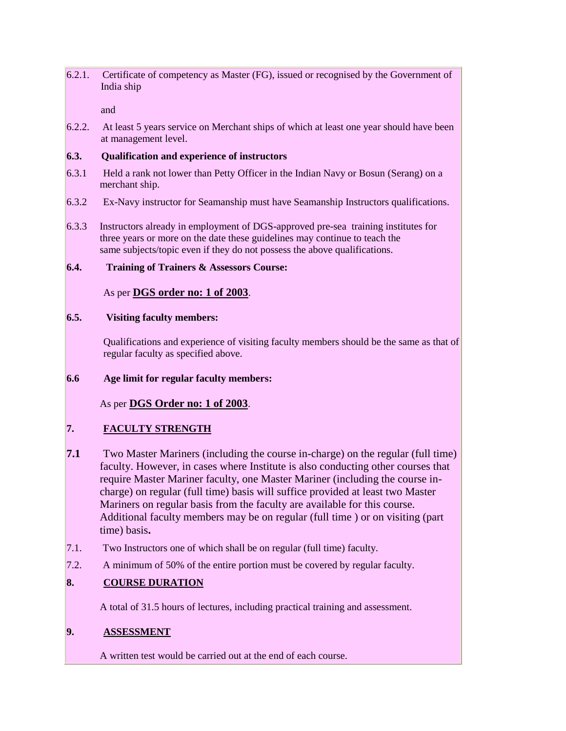6.2.1. Certificate of competency as Master (FG), issued or recognised by the Government of India ship

and

6.2.2. At least 5 years service on Merchant ships of which at least one year should have been at management level.

#### **6.3. Qualification and experience of instructors**

- 6.3.1 Held a rank not lower than Petty Officer in the Indian Navy or Bosun (Serang) on a merchant ship.
- 6.3.2 Ex-Navy instructor for Seamanship must have Seamanship Instructors qualifications.
- 6.3.3 Instructors already in employment of DGS-approved pre-sea training institutes for three years or more on the date these guidelines may continue to teach the same subjects/topic even if they do not possess the above qualifications.

## **6.4. Training of Trainers & Assessors Course:**

As per **DGS order no: 1 of 2003**.

## **6.5. Visiting faculty members:**

Qualifications and experience of visiting faculty members should be the same as that of regular faculty as specified above.

## **6.6 Age limit for regular faculty members:**

As per **DGS Order no: 1 of 2003**.

## **7. FACULTY STRENGTH**

- **7.1** Two Master Mariners (including the course in-charge) on the regular (full time) faculty. However, in cases where Institute is also conducting other courses that require Master Mariner faculty, one Master Mariner (including the course incharge) on regular (full time) basis will suffice provided at least two Master Mariners on regular basis from the faculty are available for this course. Additional faculty members may be on regular (full time ) or on visiting (part time) basis**.**
- 7.1. Two Instructors one of which shall be on regular (full time) faculty.
- 7.2. A minimum of 50% of the entire portion must be covered by regular faculty.

## **8. COURSE DURATION**

A total of 31.5 hours of lectures, including practical training and assessment.

## **9. ASSESSMENT**

A written test would be carried out at the end of each course.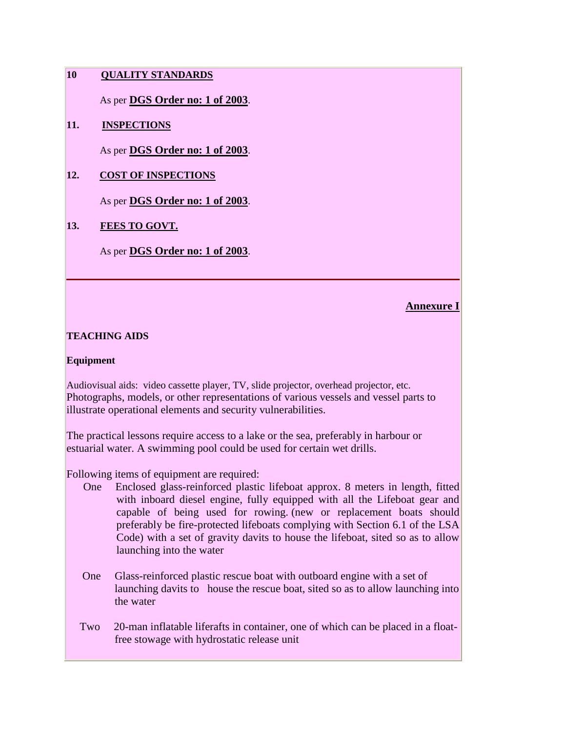## **10 QUALITY STANDARDS**

As per **DGS Order no: 1 of 2003**.

## **11. INSPECTIONS**

As per **DGS Order no: 1 of 2003**.

## **12. COST OF INSPECTIONS**

As per **DGS Order no: 1 of 2003**.

## **13. FEES TO GOVT.**

As per **DGS Order no: 1 of 2003**.

## **Annexure I**

## **TEACHING AIDS**

#### **Equipment**

Audiovisual aids: video cassette player, TV, slide projector, overhead projector, etc. Photographs, models, or other representations of various vessels and vessel parts to illustrate operational elements and security vulnerabilities.

The practical lessons require access to a lake or the sea, preferably in harbour or estuarial water. A swimming pool could be used for certain wet drills.

Following items of equipment are required:

- One Enclosed glass-reinforced plastic lifeboat approx. 8 meters in length, fitted with inboard diesel engine, fully equipped with all the Lifeboat gear and capable of being used for rowing. (new or replacement boats should preferably be fire-protected lifeboats complying with Section 6.1 of the LSA Code) with a set of gravity davits to house the lifeboat, sited so as to allow launching into the water
- One Glass-reinforced plastic rescue boat with outboard engine with a set of launching davits to house the rescue boat, sited so as to allow launching into the water
- Two 20-man inflatable liferafts in container, one of which can be placed in a floatfree stowage with hydrostatic release unit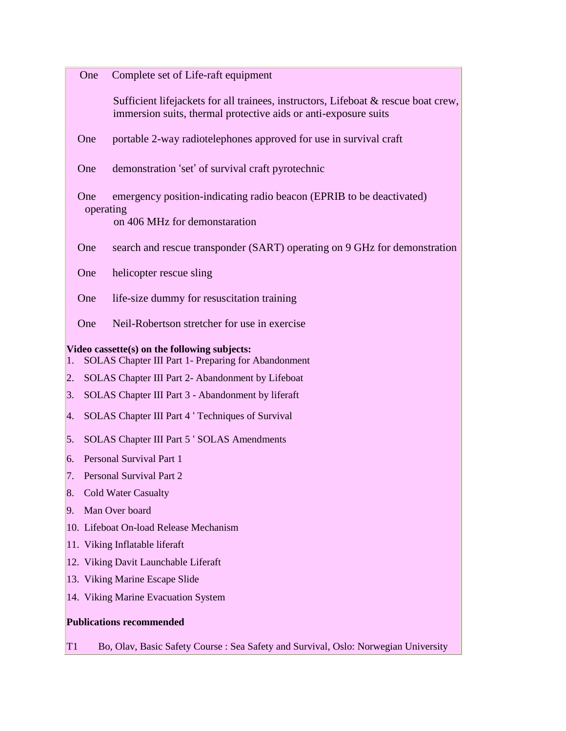One Complete set of Life-raft equipment

Sufficient lifejackets for all trainees, instructors, Lifeboat & rescue boat crew, immersion suits, thermal protective aids or anti-exposure suits

One portable 2-way radiotelephones approved for use in survival craft

One demonstration 'set' of survival craft pyrotechnic

 One emergency position-indicating radio beacon (EPRIB to be deactivated) operating

on 406 MHz for demonstaration

One search and rescue transponder (SART) operating on 9 GHz for demonstration

One helicopter rescue sling

One life-size dummy for resuscitation training

One Neil-Robertson stretcher for use in exercise

**Video cassette(s) on the following subjects:**

- 1. SOLAS Chapter III Part 1- Preparing for Abandonment
- 2. SOLAS Chapter III Part 2- Abandonment by Lifeboat
- 3. SOLAS Chapter III Part 3 Abandonment by liferaft
- 4. SOLAS Chapter III Part 4 ' Techniques of Survival

5. SOLAS Chapter III Part 5 ' SOLAS Amendments

6. Personal Survival Part 1

7. Personal Survival Part 2

- 8. Cold Water Casualty
- 9. Man Over board
- 10. Lifeboat On-load Release Mechanism
- 11. Viking Inflatable liferaft
- 12. Viking Davit Launchable Liferaft
- 13. Viking Marine Escape Slide
- 14. Viking Marine Evacuation System

#### **Publications recommended**

T1 Bo, Olav, Basic Safety Course : Sea Safety and Survival, Oslo: Norwegian University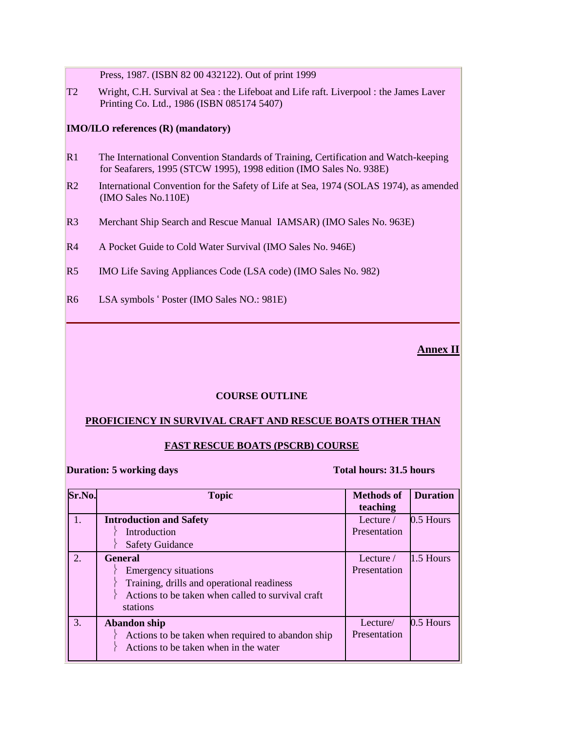Press, 1987. (ISBN 82 00 432122). Out of print 1999

T2 Wright, C.H. Survival at Sea : the Lifeboat and Life raft. Liverpool : the James Laver Printing Co. Ltd., 1986 (ISBN 085174 5407)

#### **IMO/ILO references (R) (mandatory)**

- R1 The International Convention Standards of Training, Certification and Watch-keeping for Seafarers, 1995 (STCW 1995), 1998 edition (IMO Sales No. 938E)
- R2 International Convention for the Safety of Life at Sea, 1974 (SOLAS 1974), as amended (IMO Sales No.110E)
- R3 Merchant Ship Search and Rescue Manual IAMSAR) (IMO Sales No. 963E)
- R4 A Pocket Guide to Cold Water Survival (IMO Sales No. 946E)
- R5 IMO Life Saving Appliances Code (LSA code) (IMO Sales No. 982)
- R6 LSA symbols ' Poster (IMO Sales NO.: 981E)

## **Annex II**

#### **COURSE OUTLINE**

#### **PROFICIENCY IN SURVIVAL CRAFT AND RESCUE BOATS OTHER THAN**

#### **FAST RESCUE BOATS (PSCRB) COURSE**

**Duration: 5 working days** Total hours: 31.5 hours

| Sr.No. | <b>Topic</b>                                                                                                                                          | <b>Methods of</b><br>teaching    | <b>Duration</b> |
|--------|-------------------------------------------------------------------------------------------------------------------------------------------------------|----------------------------------|-----------------|
| 1.     | <b>Introduction and Safety</b><br><b>Introduction</b><br><b>Safety Guidance</b>                                                                       | Lecture $\angle$<br>Presentation | 0.5 Hours       |
| 2.     | <b>General</b><br>Emergency situations<br>Training, drills and operational readiness<br>Actions to be taken when called to survival craft<br>stations | Lecture $\angle$<br>Presentation | $1.5$ Hours     |
| 3.     | <b>Abandon</b> ship<br>Actions to be taken when required to abandon ship<br>Actions to be taken when in the water                                     | Lecture/<br>Presentation         | 0.5 Hours       |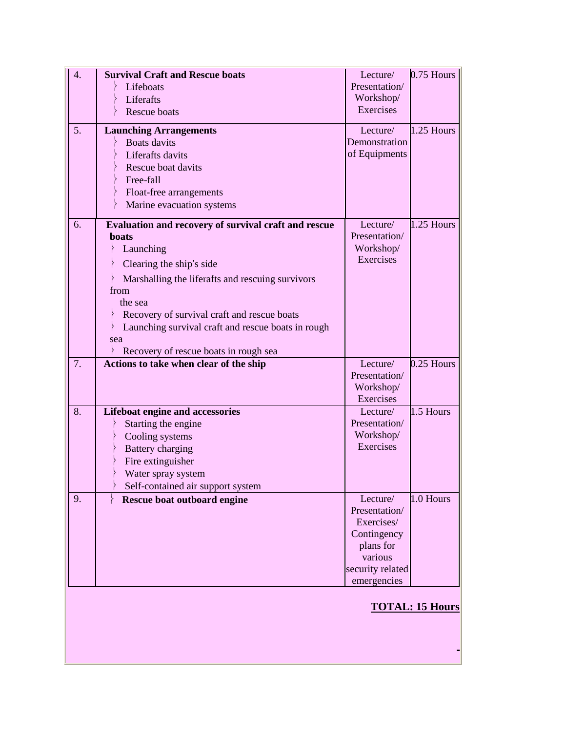| 4.                     | <b>Survival Craft and Rescue boats</b>               | Lecture/             | $0.75$ Hours |
|------------------------|------------------------------------------------------|----------------------|--------------|
|                        | Lifeboats                                            | Presentation/        |              |
|                        | Liferafts                                            | Workshop/            |              |
|                        | Rescue boats                                         | Exercises            |              |
| 5.                     | <b>Launching Arrangements</b>                        | Lecture/             | 1.25 Hours   |
|                        | <b>Boats</b> davits                                  | Demonstration        |              |
|                        | Liferafts davits                                     | of Equipments        |              |
|                        | Rescue boat davits                                   |                      |              |
|                        | Free-fall                                            |                      |              |
|                        | Float-free arrangements                              |                      |              |
|                        | Marine evacuation systems                            |                      |              |
|                        |                                                      |                      |              |
| 6.                     | Evaluation and recovery of survival craft and rescue | Lecture/             | $1.25$ Hours |
|                        | <b>boats</b>                                         | Presentation/        |              |
|                        | Launching                                            | Workshop/            |              |
|                        | Clearing the ship's side                             | Exercises            |              |
|                        | Marshalling the liferafts and rescuing survivors     |                      |              |
|                        | from                                                 |                      |              |
|                        | the sea                                              |                      |              |
|                        | Recovery of survival craft and rescue boats          |                      |              |
|                        | Launching survival craft and rescue boats in rough   |                      |              |
|                        | sea                                                  |                      |              |
|                        | Recovery of rescue boats in rough sea                |                      |              |
| 7.                     | Actions to take when clear of the ship               | Lecture/             | $0.25$ Hours |
|                        |                                                      | Presentation/        |              |
|                        |                                                      | Workshop/            |              |
|                        |                                                      | Exercises            |              |
| 8.                     | Lifeboat engine and accessories                      | Lecture/             | 1.5 Hours    |
|                        | Starting the engine                                  | Presentation/        |              |
|                        | Cooling systems                                      | Workshop/            |              |
|                        | <b>Battery charging</b>                              | Exercises            |              |
|                        | Fire extinguisher                                    |                      |              |
|                        | Water spray system                                   |                      |              |
|                        | Self-contained air support system                    |                      |              |
| 9.                     | Rescue boat outboard engine                          | Lecture/             | 1.0 Hours    |
|                        |                                                      | Presentation/        |              |
|                        |                                                      | Exercises/           |              |
|                        |                                                      | Contingency          |              |
|                        |                                                      | plans for<br>various |              |
|                        |                                                      | security related     |              |
|                        |                                                      | emergencies          |              |
|                        |                                                      |                      |              |
|                        |                                                      |                      |              |
| <b>TOTAL: 15 Hours</b> |                                                      |                      |              |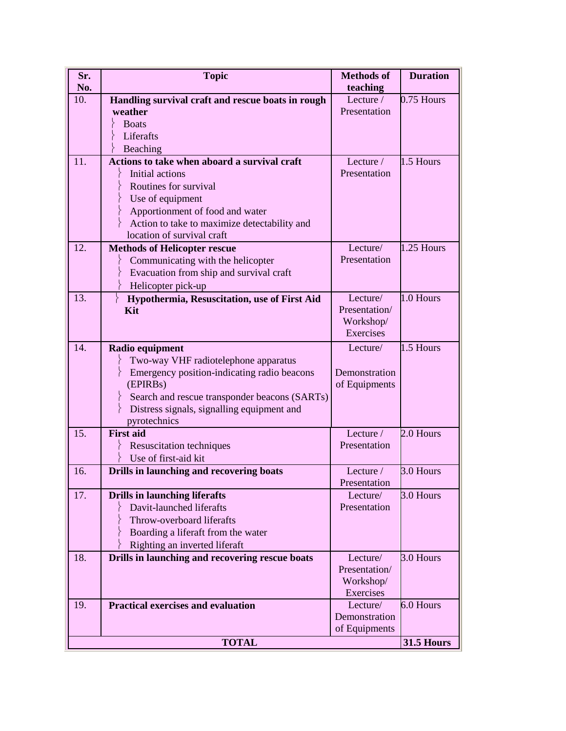| Sr.          | <b>Topic</b>                                                      | <b>Methods of</b> | <b>Duration</b> |
|--------------|-------------------------------------------------------------------|-------------------|-----------------|
| No.          |                                                                   | teaching          |                 |
| 10.          | Handling survival craft and rescue boats in rough                 | Lecture /         | 0.75 Hours      |
|              | weather                                                           | Presentation      |                 |
|              | <b>Boats</b>                                                      |                   |                 |
|              | Liferafts                                                         |                   |                 |
|              | Beaching                                                          |                   |                 |
| 11.          | Actions to take when aboard a survival craft                      | Lecture $\angle$  | 1.5 Hours       |
|              | Initial actions                                                   | Presentation      |                 |
|              | Routines for survival                                             |                   |                 |
|              | Use of equipment                                                  |                   |                 |
|              | Apportionment of food and water                                   |                   |                 |
|              | Action to take to maximize detectability and                      |                   |                 |
|              | location of survival craft                                        |                   |                 |
| 12.          | <b>Methods of Helicopter rescue</b>                               | Lecture/          | 1.25 Hours      |
|              | Communicating with the helicopter                                 | Presentation      |                 |
|              | Evacuation from ship and survival craft                           |                   |                 |
|              | Helicopter pick-up                                                |                   |                 |
| 13.          | $\left\{ \right.$<br>Hypothermia, Resuscitation, use of First Aid | Lecture/          | 1.0 Hours       |
|              | Kit                                                               | Presentation/     |                 |
|              |                                                                   | Workshop/         |                 |
|              |                                                                   | Exercises         |                 |
| 14.          | Radio equipment                                                   | Lecture/          | 1.5 Hours       |
|              | Two-way VHF radiotelephone apparatus                              |                   |                 |
|              | Emergency position-indicating radio beacons                       | Demonstration     |                 |
|              | (EPIRBs)                                                          | of Equipments     |                 |
|              | Search and rescue transponder beacons (SARTs)                     |                   |                 |
|              | Distress signals, signalling equipment and                        |                   |                 |
|              | pyrotechnics                                                      |                   |                 |
| 15.          | <b>First aid</b>                                                  | Lecture /         | 2.0 Hours       |
|              | <b>Resuscitation techniques</b>                                   | Presentation      |                 |
|              | Use of first-aid kit                                              |                   |                 |
| 16.          | Drills in launching and recovering boats                          | Lecture $\angle$  | 3.0 Hours       |
|              |                                                                   | Presentation      |                 |
| 17.          | <b>Drills in launching liferafts</b>                              | Lecture/          | 3.0 Hours       |
|              | Davit-launched liferafts                                          | Presentation      |                 |
|              | Throw-overboard liferafts                                         |                   |                 |
|              | Boarding a liferaft from the water                                |                   |                 |
|              | Righting an inverted liferaft                                     |                   |                 |
| 18.          | Drills in launching and recovering rescue boats                   | Lecture/          | 3.0 Hours       |
|              |                                                                   | Presentation/     |                 |
|              |                                                                   | Workshop/         |                 |
|              |                                                                   | Exercises         |                 |
| 19.          | <b>Practical exercises and evaluation</b>                         | Lecture/          | 6.0 Hours       |
|              |                                                                   | Demonstration     |                 |
|              |                                                                   | of Equipments     |                 |
| <b>TOTAL</b> |                                                                   | <b>31.5 Hours</b> |                 |